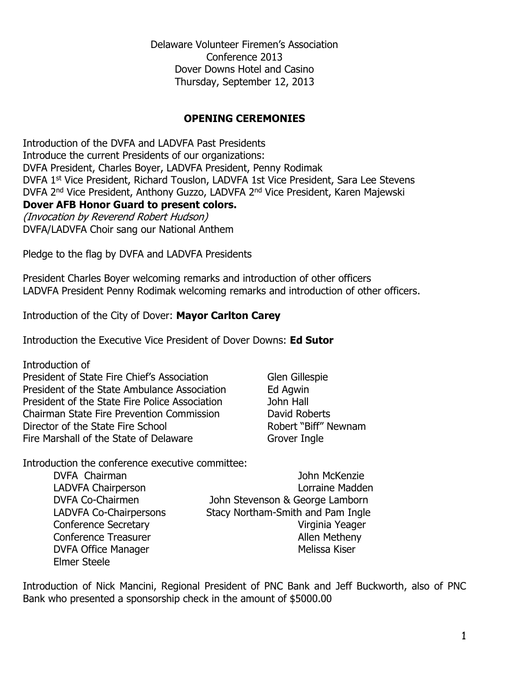Delaware Volunteer Firemen's Association Conference 2013 Dover Downs Hotel and Casino Thursday, September 12, 2013

#### **OPENING CEREMONIES**

Introduction of the DVFA and LADVFA Past Presidents Introduce the current Presidents of our organizations: DVFA President, Charles Boyer, LADVFA President, Penny Rodimak DVFA 1st Vice President, Richard Touslon, LADVFA 1st Vice President, Sara Lee Stevens DVFA 2nd Vice President, Anthony Guzzo, LADVFA 2nd Vice President, Karen Majewski **Dover AFB Honor Guard to present colors.** (Invocation by Reverend Robert Hudson) DVFA/LADVFA Choir sang our National Anthem

Pledge to the flag by DVFA and LADVFA Presidents

President Charles Boyer welcoming remarks and introduction of other officers LADVFA President Penny Rodimak welcoming remarks and introduction of other officers.

Introduction of the City of Dover: **Mayor Carlton Carey**

Introduction the Executive Vice President of Dover Downs: **Ed Sutor**

Introduction of President of State Fire Chief's Association Glen Gillespie President of the State Ambulance Association Ed Agwin President of the State Fire Police Association and John Hall Chairman State Fire Prevention Commission David Roberts<br>
Director of the State Fire School Robert "Biff" Newnam Director of the State Fire School Fire Marshall of the State of Delaware Grover Ingle

Introduction the conference executive committee:

DVFA Chairman **John McKenzie** Elmer Steele

LADVFA Chairperson **Land Access 1999** Lorraine Madden DVFA Co-Chairmen John Stevenson & George Lamborn LADVFA Co-Chairpersons Stacy Northam-Smith and Pam Ingle Conference Secretary **Virginia Yeager** Conference Treasurer Allen Metheny DVFA Office Manager Melissa Kiser

Introduction of Nick Mancini, Regional President of PNC Bank and Jeff Buckworth, also of PNC Bank who presented a sponsorship check in the amount of \$5000.00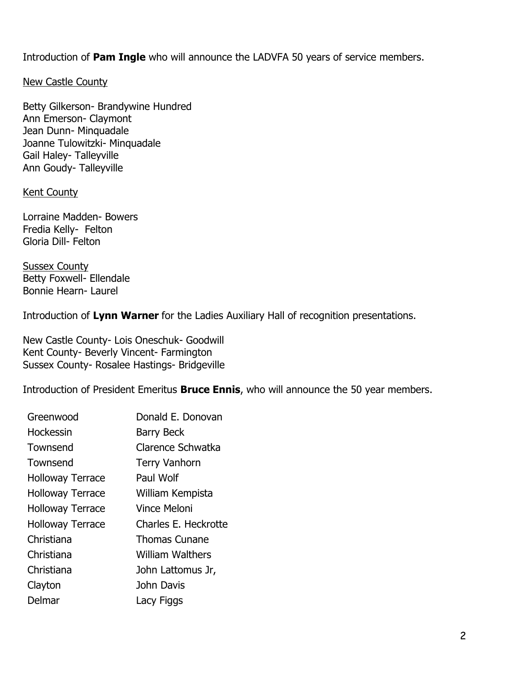Introduction of **Pam Ingle** who will announce the LADVFA 50 years of service members.

New Castle County

Betty Gilkerson- Brandywine Hundred Ann Emerson- Claymont Jean Dunn- Minquadale Joanne Tulowitzki- Minquadale Gail Haley- Talleyville Ann Goudy- Talleyville

#### **Kent County**

Lorraine Madden- Bowers Fredia Kelly- Felton Gloria Dill- Felton

Sussex County Betty Foxwell- Ellendale Bonnie Hearn- Laurel

Introduction of **Lynn Warner** for the Ladies Auxiliary Hall of recognition presentations.

New Castle County- Lois Oneschuk- Goodwill Kent County- Beverly Vincent- Farmington Sussex County- Rosalee Hastings- Bridgeville

Introduction of President Emeritus **Bruce Ennis**, who will announce the 50 year members.

| Greenwood               | Donald E. Donovan       |
|-------------------------|-------------------------|
| Hockessin               | <b>Barry Beck</b>       |
| Townsend                | Clarence Schwatka       |
| Townsend                | <b>Terry Vanhorn</b>    |
| <b>Holloway Terrace</b> | Paul Wolf               |
| <b>Holloway Terrace</b> | William Kempista        |
| <b>Holloway Terrace</b> | Vince Meloni            |
| <b>Holloway Terrace</b> | Charles E. Heckrotte    |
| Christiana              | <b>Thomas Cunane</b>    |
| Christiana              | <b>William Walthers</b> |
| Christiana              | John Lattomus Jr,       |
| Clayton                 | John Davis              |
| Delmar                  | Lacy Figgs              |
|                         |                         |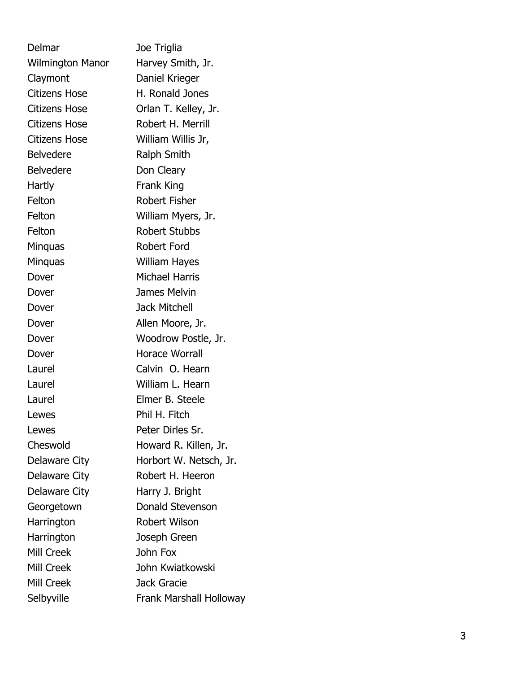| Delmar                  | Joe Triglia                    |
|-------------------------|--------------------------------|
| <b>Wilmington Manor</b> | Harvey Smith, Jr.              |
| Claymont                | Daniel Krieger                 |
| <b>Citizens Hose</b>    | H. Ronald Jones                |
| <b>Citizens Hose</b>    | Orlan T. Kelley, Jr.           |
| <b>Citizens Hose</b>    | Robert H. Merrill              |
| <b>Citizens Hose</b>    | William Willis Jr,             |
| <b>Belvedere</b>        | Ralph Smith                    |
| <b>Belvedere</b>        | Don Cleary                     |
| Hartly                  | Frank King                     |
| Felton                  | Robert Fisher                  |
| Felton                  | William Myers, Jr.             |
| Felton                  | <b>Robert Stubbs</b>           |
| <b>Minguas</b>          | Robert Ford                    |
| <b>Minguas</b>          | William Hayes                  |
| Dover                   | Michael Harris                 |
| Dover                   | James Melvin                   |
| Dover                   | <b>Jack Mitchell</b>           |
| Dover                   | Allen Moore, Jr.               |
| Dover                   | Woodrow Postle, Jr.            |
| Dover                   | <b>Horace Worrall</b>          |
| Laurel                  | Calvin O. Hearn                |
| Laurel                  | William L. Hearn               |
| Laurel                  | Elmer B. Steele                |
| Lewes                   | Phil H. Fitch                  |
| Lewes                   | Peter Dirles Sr.               |
| Cheswold                | Howard R. Killen, Jr.          |
| Delaware City           | Horbort W. Netsch, Jr.         |
| Delaware City           | Robert H. Heeron               |
| Delaware City           | Harry J. Bright                |
| Georgetown              | Donald Stevenson               |
| Harrington              | <b>Robert Wilson</b>           |
| Harrington              | Joseph Green                   |
| Mill Creek              | John Fox                       |
| Mill Creek              | John Kwiatkowski               |
| Mill Creek              | Jack Gracie                    |
| Selbyville              | <b>Frank Marshall Holloway</b> |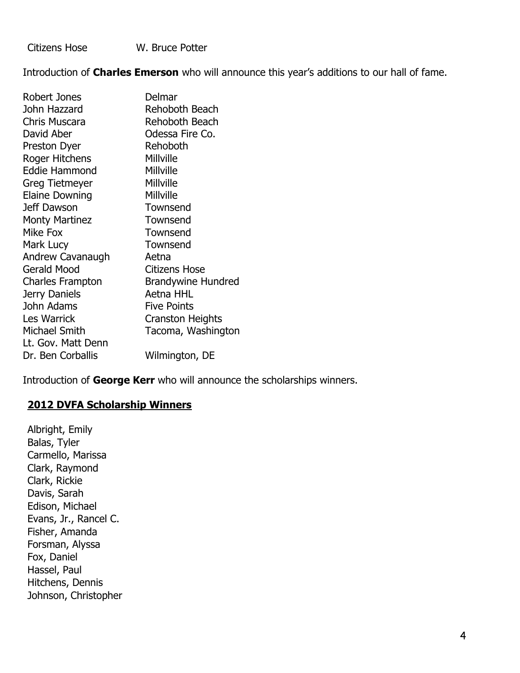Citizens Hose W. Bruce Potter

Introduction of **Charles Emerson** who will announce this year's additions to our hall of fame.

| Robert Jones          | Delmar                    |
|-----------------------|---------------------------|
| John Hazzard          | Rehoboth Beach            |
| Chris Muscara         | Rehoboth Beach            |
| David Aber            | Odessa Fire Co.           |
| Preston Dyer          | Rehoboth                  |
| Roger Hitchens        | Millville                 |
| Eddie Hammond         | Millville                 |
| Greg Tietmeyer        | Millville                 |
| <b>Elaine Downing</b> | Millville                 |
| Jeff Dawson           | Townsend                  |
| <b>Monty Martinez</b> | Townsend                  |
| Mike Fox              | Townsend                  |
| Mark Lucy             | Townsend                  |
| Andrew Cavanaugh      | Aetna                     |
| <b>Gerald Mood</b>    | <b>Citizens Hose</b>      |
| Charles Frampton      | <b>Brandywine Hundred</b> |
| Jerry Daniels         | Aetna HHL                 |
| John Adams            | <b>Five Points</b>        |
| Les Warrick           | <b>Cranston Heights</b>   |
| Michael Smith         | Tacoma, Washington        |
| Lt. Gov. Matt Denn    |                           |
| Dr. Ben Corballis     | Wilmington, DE            |

Introduction of **George Kerr** who will announce the scholarships winners.

## **2012 DVFA Scholarship Winners**

Albright, Emily Balas, Tyler Carmello, Marissa Clark, Raymond Clark, Rickie Davis, Sarah Edison, Michael Evans, Jr., Rancel C. Fisher, Amanda Forsman, Alyssa Fox, Daniel Hassel, Paul Hitchens, Dennis Johnson, Christopher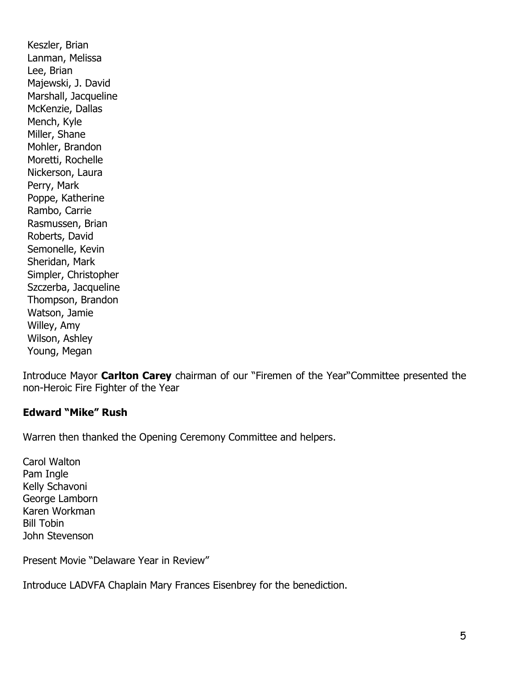Keszler, Brian Lanman, Melissa Lee, Brian Majewski, J. David Marshall, Jacqueline McKenzie, Dallas Mench, Kyle Miller, Shane Mohler, Brandon Moretti, Rochelle Nickerson, Laura Perry, Mark Poppe, Katherine Rambo, Carrie Rasmussen, Brian Roberts, David Semonelle, Kevin Sheridan, Mark Simpler, Christopher Szczerba, Jacqueline Thompson, Brandon Watson, Jamie Willey, Amy Wilson, Ashley Young, Megan

Introduce Mayor **Carlton Carey** chairman of our "Firemen of the Year"Committee presented the non-Heroic Fire Fighter of the Year

### **Edward "Mike" Rush**

Warren then thanked the Opening Ceremony Committee and helpers.

Carol Walton Pam Ingle Kelly Schavoni George Lamborn Karen Workman Bill Tobin John Stevenson

Present Movie "Delaware Year in Review"

Introduce LADVFA Chaplain Mary Frances Eisenbrey for the benediction.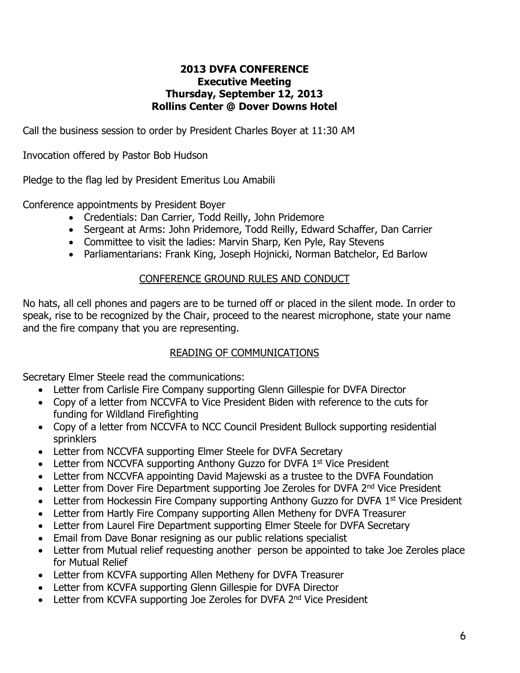### **2013 DVFA CONFERENCE Executive Meeting Thursday, September 12, 2013 Rollins Center @ Dover Downs Hotel**

Call the business session to order by President Charles Boyer at 11:30 AM

Invocation offered by Pastor Bob Hudson

Pledge to the flag led by President Emeritus Lou Amabili

Conference appointments by President Boyer

- Credentials: Dan Carrier, Todd Reilly, John Pridemore
- Sergeant at Arms: John Pridemore, Todd Reilly, Edward Schaffer, Dan Carrier
- Committee to visit the ladies: Marvin Sharp, Ken Pyle, Ray Stevens
- Parliamentarians: Frank King, Joseph Hojnicki, Norman Batchelor, Ed Barlow

#### CONFERENCE GROUND RULES AND CONDUCT

No hats, all cell phones and pagers are to be turned off or placed in the silent mode. In order to speak, rise to be recognized by the Chair, proceed to the nearest microphone, state your name and the fire company that you are representing.

### READING OF COMMUNICATIONS

Secretary Elmer Steele read the communications:

- Letter from Carlisle Fire Company supporting Glenn Gillespie for DVFA Director
- Copy of a letter from NCCVFA to Vice President Biden with reference to the cuts for funding for Wildland Firefighting
- Copy of a letter from NCCVFA to NCC Council President Bullock supporting residential sprinklers
- Letter from NCCVFA supporting Elmer Steele for DVFA Secretary
- Letter from NCCVFA supporting Anthony Guzzo for DVFA 1<sup>st</sup> Vice President
- Letter from NCCVFA appointing David Majewski as a trustee to the DVFA Foundation
- Letter from Dover Fire Department supporting Joe Zeroles for DVFA 2<sup>nd</sup> Vice President
- Letter from Hockessin Fire Company supporting Anthony Guzzo for DVFA 1<sup>st</sup> Vice President
- Letter from Hartly Fire Company supporting Allen Metheny for DVFA Treasurer
- Letter from Laurel Fire Department supporting Elmer Steele for DVFA Secretary
- Email from Dave Bonar resigning as our public relations specialist
- Letter from Mutual relief requesting another person be appointed to take Joe Zeroles place for Mutual Relief
- Letter from KCVFA supporting Allen Metheny for DVFA Treasurer
- Letter from KCVFA supporting Glenn Gillespie for DVFA Director
- Letter from KCVFA supporting Joe Zeroles for DVFA 2<sup>nd</sup> Vice President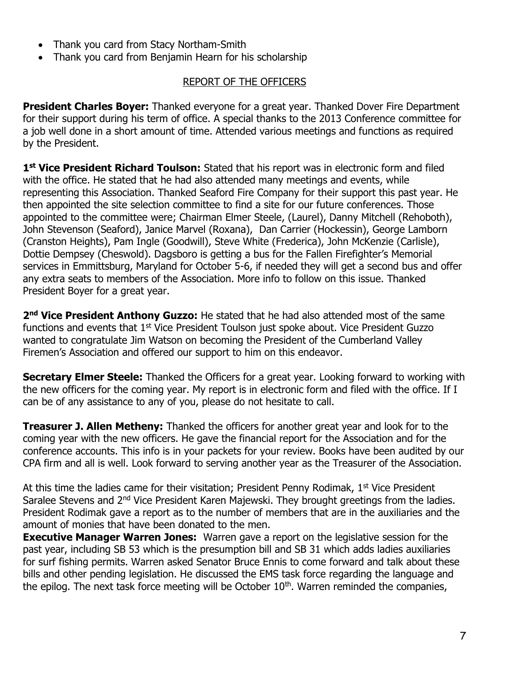- Thank you card from Stacy Northam-Smith
- Thank you card from Benjamin Hearn for his scholarship

### REPORT OF THE OFFICERS

**President Charles Boyer:** Thanked everyone for a great year. Thanked Dover Fire Department for their support during his term of office. A special thanks to the 2013 Conference committee for a job well done in a short amount of time. Attended various meetings and functions as required by the President.

1<sup>st</sup> Vice President Richard Toulson: Stated that his report was in electronic form and filed with the office. He stated that he had also attended many meetings and events, while representing this Association. Thanked Seaford Fire Company for their support this past year. He then appointed the site selection committee to find a site for our future conferences. Those appointed to the committee were; Chairman Elmer Steele, (Laurel), Danny Mitchell (Rehoboth), John Stevenson (Seaford), Janice Marvel (Roxana), Dan Carrier (Hockessin), George Lamborn (Cranston Heights), Pam Ingle (Goodwill), Steve White (Frederica), John McKenzie (Carlisle), Dottie Dempsey (Cheswold). Dagsboro is getting a bus for the Fallen Firefighter's Memorial services in Emmittsburg, Maryland for October 5-6, if needed they will get a second bus and offer any extra seats to members of the Association. More info to follow on this issue. Thanked President Boyer for a great year.

2<sup>nd</sup> Vice President Anthony Guzzo: He stated that he had also attended most of the same functions and events that 1<sup>st</sup> Vice President Toulson just spoke about. Vice President Guzzo wanted to congratulate Jim Watson on becoming the President of the Cumberland Valley Firemen's Association and offered our support to him on this endeavor.

**Secretary Elmer Steele:** Thanked the Officers for a great year. Looking forward to working with the new officers for the coming year. My report is in electronic form and filed with the office. If I can be of any assistance to any of you, please do not hesitate to call.

**Treasurer J. Allen Metheny:** Thanked the officers for another great year and look for to the coming year with the new officers. He gave the financial report for the Association and for the conference accounts. This info is in your packets for your review. Books have been audited by our CPA firm and all is well. Look forward to serving another year as the Treasurer of the Association.

At this time the ladies came for their visitation; President Penny Rodimak, 1<sup>st</sup> Vice President Saralee Stevens and 2<sup>nd</sup> Vice President Karen Majewski. They brought greetings from the ladies. President Rodimak gave a report as to the number of members that are in the auxiliaries and the amount of monies that have been donated to the men.

**Executive Manager Warren Jones:** Warren gave a report on the legislative session for the past year, including SB 53 which is the presumption bill and SB 31 which adds ladies auxiliaries for surf fishing permits. Warren asked Senator Bruce Ennis to come forward and talk about these bills and other pending legislation. He discussed the EMS task force regarding the language and the epilog. The next task force meeting will be October  $10<sup>th</sup>$ . Warren reminded the companies,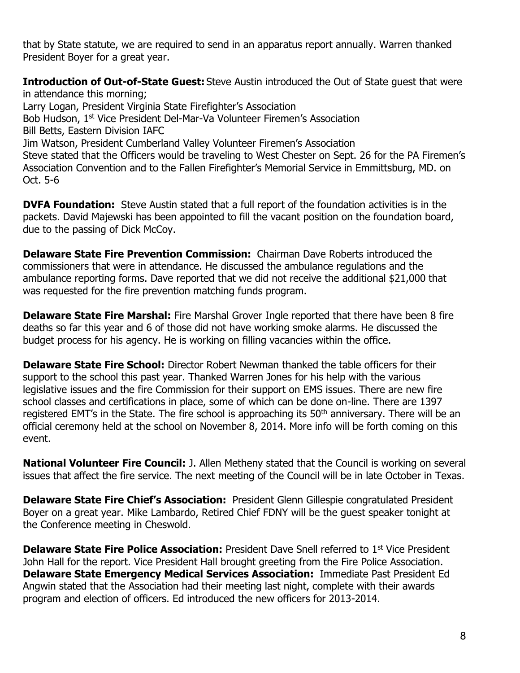that by State statute, we are required to send in an apparatus report annually. Warren thanked President Boyer for a great year.

**Introduction of Out-of-State Guest:** Steve Austin introduced the Out of State guest that were in attendance this morning; Larry Logan, President Virginia State Firefighter's Association Bob Hudson, 1st Vice President Del-Mar-Va Volunteer Firemen's Association Bill Betts, Eastern Division IAFC Jim Watson, President Cumberland Valley Volunteer Firemen's Association Steve stated that the Officers would be traveling to West Chester on Sept. 26 for the PA Firemen's Association Convention and to the Fallen Firefighter's Memorial Service in Emmittsburg, MD. on Oct. 5-6

**DVFA Foundation:** Steve Austin stated that a full report of the foundation activities is in the packets. David Majewski has been appointed to fill the vacant position on the foundation board, due to the passing of Dick McCoy.

**Delaware State Fire Prevention Commission:** Chairman Dave Roberts introduced the commissioners that were in attendance. He discussed the ambulance regulations and the ambulance reporting forms. Dave reported that we did not receive the additional \$21,000 that was requested for the fire prevention matching funds program.

**Delaware State Fire Marshal:** Fire Marshal Grover Ingle reported that there have been 8 fire deaths so far this year and 6 of those did not have working smoke alarms. He discussed the budget process for his agency. He is working on filling vacancies within the office.

**Delaware State Fire School:** Director Robert Newman thanked the table officers for their support to the school this past year. Thanked Warren Jones for his help with the various legislative issues and the fire Commission for their support on EMS issues. There are new fire school classes and certifications in place, some of which can be done on-line. There are 1397 registered EMT's in the State. The fire school is approaching its 50<sup>th</sup> anniversary. There will be an official ceremony held at the school on November 8, 2014. More info will be forth coming on this event.

**National Volunteer Fire Council:** J. Allen Metheny stated that the Council is working on several issues that affect the fire service. The next meeting of the Council will be in late October in Texas.

**Delaware State Fire Chief's Association:** President Glenn Gillespie congratulated President Boyer on a great year. Mike Lambardo, Retired Chief FDNY will be the guest speaker tonight at the Conference meeting in Cheswold.

**Delaware State Fire Police Association:** President Dave Snell referred to 1<sup>st</sup> Vice President John Hall for the report. Vice President Hall brought greeting from the Fire Police Association. **Delaware State Emergency Medical Services Association:** Immediate Past President Ed Angwin stated that the Association had their meeting last night, complete with their awards program and election of officers. Ed introduced the new officers for 2013-2014.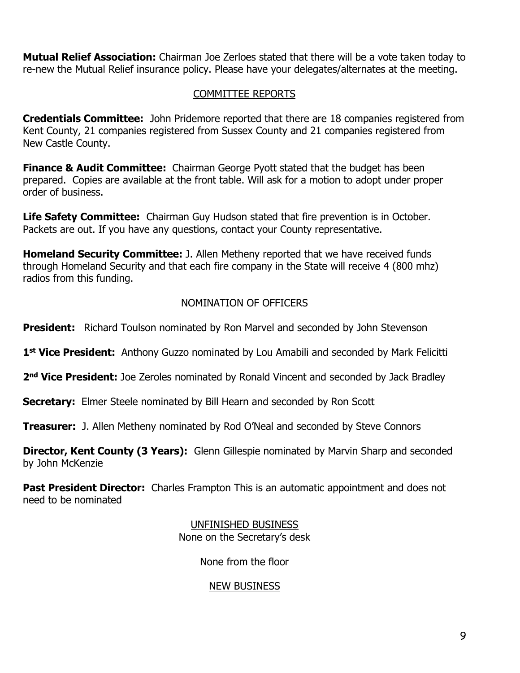**Mutual Relief Association:** Chairman Joe Zerloes stated that there will be a vote taken today to re-new the Mutual Relief insurance policy. Please have your delegates/alternates at the meeting.

# COMMITTEE REPORTS

**Credentials Committee:** John Pridemore reported that there are 18 companies registered from Kent County, 21 companies registered from Sussex County and 21 companies registered from New Castle County.

**Finance & Audit Committee:** Chairman George Pyott stated that the budget has been prepared. Copies are available at the front table. Will ask for a motion to adopt under proper order of business.

**Life Safety Committee:** Chairman Guy Hudson stated that fire prevention is in October. Packets are out. If you have any questions, contact your County representative.

**Homeland Security Committee:** J. Allen Metheny reported that we have received funds through Homeland Security and that each fire company in the State will receive 4 (800 mhz) radios from this funding.

# NOMINATION OF OFFICERS

**President:** Richard Toulson nominated by Ron Marvel and seconded by John Stevenson

1<sup>st</sup> Vice President: Anthony Guzzo nominated by Lou Amabili and seconded by Mark Felicitti

2<sup>nd</sup> Vice President: Joe Zeroles nominated by Ronald Vincent and seconded by Jack Bradley

**Secretary:** Elmer Steele nominated by Bill Hearn and seconded by Ron Scott

**Treasurer:** J. Allen Metheny nominated by Rod O'Neal and seconded by Steve Connors

**Director, Kent County (3 Years):** Glenn Gillespie nominated by Marvin Sharp and seconded by John McKenzie

**Past President Director:** Charles Frampton This is an automatic appointment and does not need to be nominated

> UNFINISHED BUSINESS None on the Secretary's desk

> > None from the floor

### NEW BUSINESS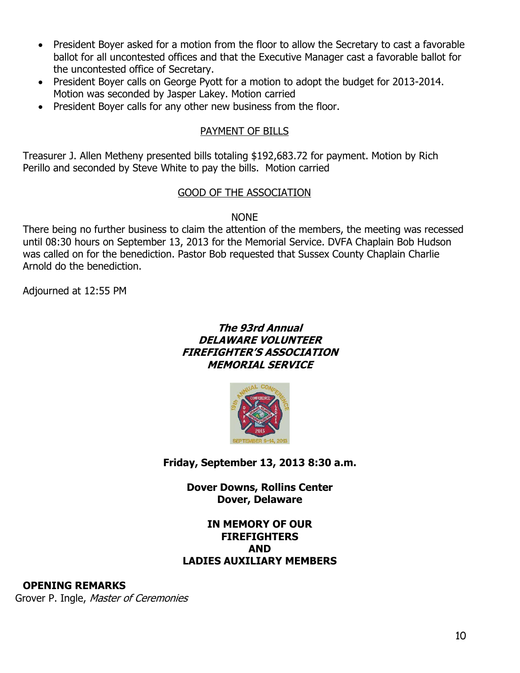- President Boyer asked for a motion from the floor to allow the Secretary to cast a favorable ballot for all uncontested offices and that the Executive Manager cast a favorable ballot for the uncontested office of Secretary.
- President Boyer calls on George Pyott for a motion to adopt the budget for 2013-2014. Motion was seconded by Jasper Lakey. Motion carried
- President Boyer calls for any other new business from the floor.

## PAYMENT OF BILLS

Treasurer J. Allen Metheny presented bills totaling \$192,683.72 for payment. Motion by Rich Perillo and seconded by Steve White to pay the bills. Motion carried

## GOOD OF THE ASSOCIATION

**NONE** 

There being no further business to claim the attention of the members, the meeting was recessed until 08:30 hours on September 13, 2013 for the Memorial Service. DVFA Chaplain Bob Hudson was called on for the benediction. Pastor Bob requested that Sussex County Chaplain Charlie Arnold do the benediction.

Adjourned at 12:55 PM

### **The 93rd Annual DELAWARE VOLUNTEER FIREFIGHTER'S ASSOCIATION MEMORIAL SERVICE**



**Friday, September 13, 2013 8:30 a.m.**

**Dover Downs, Rollins Center Dover, Delaware**

## **IN MEMORY OF OUR FIREFIGHTERS AND LADIES AUXILIARY MEMBERS**

**OPENING REMARKS**

Grover P. Ingle, Master of Ceremonies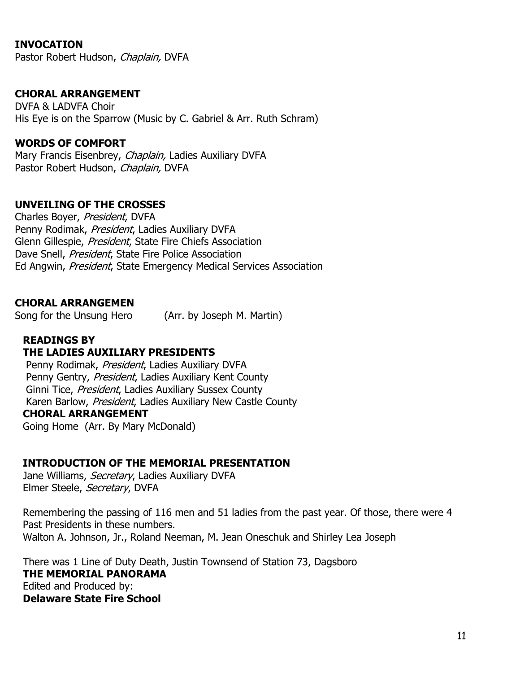### **INVOCATION**

Pastor Robert Hudson, Chaplain, DVFA

### **CHORAL ARRANGEMENT**

DVFA & LADVFA Choir His Eye is on the Sparrow (Music by C. Gabriel & Arr. Ruth Schram)

#### **WORDS OF COMFORT**

Mary Francis Eisenbrey, Chaplain, Ladies Auxiliary DVFA Pastor Robert Hudson, Chaplain, DVFA

#### **UNVEILING OF THE CROSSES**

Charles Boyer, President, DVFA Penny Rodimak, President, Ladies Auxiliary DVFA Glenn Gillespie, President, State Fire Chiefs Association Dave Snell, President, State Fire Police Association Ed Angwin, President, State Emergency Medical Services Association

#### **CHORAL ARRANGEMEN**

Song for the Unsung Hero (Arr. by Joseph M. Martin)

## **READINGS BY**

#### **THE LADIES AUXILIARY PRESIDENTS**

Penny Rodimak, President, Ladies Auxiliary DVFA Penny Gentry, President, Ladies Auxiliary Kent County Ginni Tice, President, Ladies Auxiliary Sussex County Karen Barlow, President, Ladies Auxiliary New Castle County **CHORAL ARRANGEMENT** Going Home (Arr. By Mary McDonald)

#### **INTRODUCTION OF THE MEMORIAL PRESENTATION**

Jane Williams, Secretary, Ladies Auxiliary DVFA Elmer Steele, Secretary, DVFA

Remembering the passing of 116 men and 51 ladies from the past year. Of those, there were 4 Past Presidents in these numbers. Walton A. Johnson, Jr., Roland Neeman, M. Jean Oneschuk and Shirley Lea Joseph

There was 1 Line of Duty Death, Justin Townsend of Station 73, Dagsboro **THE MEMORIAL PANORAMA** Edited and Produced by: **Delaware State Fire School**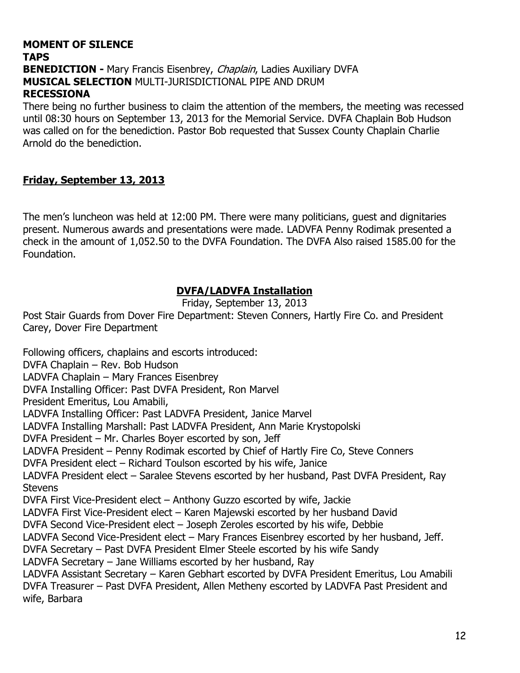## **MOMENT OF SILENCE TAPS BENEDICTION -** Mary Francis Eisenbrey, *Chaplain*, Ladies Auxiliary DVFA **MUSICAL SELECTION** MULTI-JURISDICTIONAL PIPE AND DRUM **RECESSIONA**

There being no further business to claim the attention of the members, the meeting was recessed until 08:30 hours on September 13, 2013 for the Memorial Service. DVFA Chaplain Bob Hudson was called on for the benediction. Pastor Bob requested that Sussex County Chaplain Charlie Arnold do the benediction.

## **Friday, September 13, 2013**

The men's luncheon was held at 12:00 PM. There were many politicians, guest and dignitaries present. Numerous awards and presentations were made. LADVFA Penny Rodimak presented a check in the amount of 1,052.50 to the DVFA Foundation. The DVFA Also raised 1585.00 for the Foundation.

## **DVFA/LADVFA Installation**

Friday, September 13, 2013

Post Stair Guards from Dover Fire Department: Steven Conners, Hartly Fire Co. and President Carey, Dover Fire Department

Following officers, chaplains and escorts introduced: DVFA Chaplain – Rev. Bob Hudson LADVFA Chaplain – Mary Frances Eisenbrey DVFA Installing Officer: Past DVFA President, Ron Marvel President Emeritus, Lou Amabili, LADVFA Installing Officer: Past LADVFA President, Janice Marvel LADVFA Installing Marshall: Past LADVFA President, Ann Marie Krystopolski DVFA President – Mr. Charles Boyer escorted by son, Jeff LADVFA President – Penny Rodimak escorted by Chief of Hartly Fire Co, Steve Conners DVFA President elect – Richard Toulson escorted by his wife, Janice LADVFA President elect – Saralee Stevens escorted by her husband, Past DVFA President, Ray **Stevens** DVFA First Vice-President elect – Anthony Guzzo escorted by wife, Jackie LADVFA First Vice-President elect – Karen Majewski escorted by her husband David DVFA Second Vice-President elect – Joseph Zeroles escorted by his wife, Debbie LADVFA Second Vice-President elect – Mary Frances Eisenbrey escorted by her husband, Jeff. DVFA Secretary – Past DVFA President Elmer Steele escorted by his wife Sandy LADVFA Secretary – Jane Williams escorted by her husband, Ray LADVFA Assistant Secretary – Karen Gebhart escorted by DVFA President Emeritus, Lou Amabili DVFA Treasurer – Past DVFA President, Allen Metheny escorted by LADVFA Past President and wife, Barbara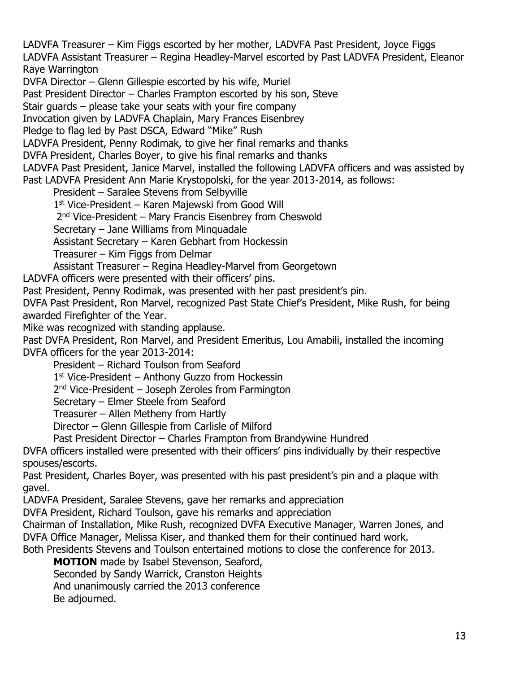LADVFA Treasurer – Kim Figgs escorted by her mother, LADVFA Past President, Joyce Figgs LADVFA Assistant Treasurer – Regina Headley-Marvel escorted by Past LADVFA President, Eleanor Raye Warrington

DVFA Director – Glenn Gillespie escorted by his wife, Muriel

Past President Director – Charles Frampton escorted by his son, Steve

Stair guards – please take your seats with your fire company

Invocation given by LADVFA Chaplain, Mary Frances Eisenbrey

Pledge to flag led by Past DSCA, Edward "Mike" Rush

LADVFA President, Penny Rodimak, to give her final remarks and thanks

DVFA President, Charles Boyer, to give his final remarks and thanks

LADVFA Past President, Janice Marvel, installed the following LADVFA officers and was assisted by Past LADVFA President Ann Marie Krystopolski, for the year 2013-2014, as follows:

President – Saralee Stevens from Selbyville

1<sup>st</sup> Vice-President – Karen Majewski from Good Will

2<sup>nd</sup> Vice-President – Mary Francis Eisenbrey from Cheswold

Secretary – Jane Williams from Minquadale

Assistant Secretary – Karen Gebhart from Hockessin

Treasurer – Kim Figgs from Delmar

Assistant Treasurer – Regina Headley-Marvel from Georgetown

LADVFA officers were presented with their officers' pins.

Past President, Penny Rodimak, was presented with her past president's pin.

DVFA Past President, Ron Marvel, recognized Past State Chief's President, Mike Rush, for being awarded Firefighter of the Year.

Mike was recognized with standing applause.

Past DVFA President, Ron Marvel, and President Emeritus, Lou Amabili, installed the incoming DVFA officers for the year 2013-2014:

President – Richard Toulson from Seaford

1<sup>st</sup> Vice-President – Anthony Guzzo from Hockessin

2<sup>nd</sup> Vice-President – Joseph Zeroles from Farmington

Secretary – Elmer Steele from Seaford

Treasurer – Allen Metheny from Hartly

Director – Glenn Gillespie from Carlisle of Milford

Past President Director – Charles Frampton from Brandywine Hundred

DVFA officers installed were presented with their officers' pins individually by their respective spouses/escorts.

Past President, Charles Boyer, was presented with his past president's pin and a plaque with gavel.

LADVFA President, Saralee Stevens, gave her remarks and appreciation

DVFA President, Richard Toulson, gave his remarks and appreciation

Chairman of Installation, Mike Rush, recognized DVFA Executive Manager, Warren Jones, and DVFA Office Manager, Melissa Kiser, and thanked them for their continued hard work.

Both Presidents Stevens and Toulson entertained motions to close the conference for 2013.

**MOTION** made by Isabel Stevenson, Seaford,

Seconded by Sandy Warrick, Cranston Heights

And unanimously carried the 2013 conference

Be adjourned.